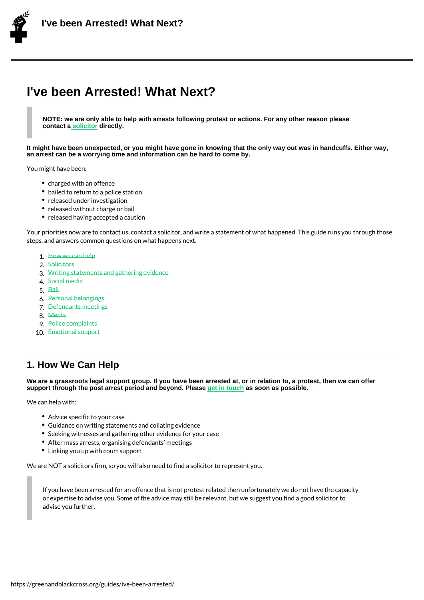# I've been Arrested! What Next?

NOTE: we are only able to help with arrests following protest or actions. For any other reason please contact a solicitor directly.

It might have been unexpected, or you might have gone in knowing that the only way out was in handcuffs. Either way, an arrest can b[e a worryin](https://netpol.org/criminal-solicitors/)g time and information can be hard to come by.

You might have been:

- charged with an offence
- bailed to return to a police station
- released under investigation
- released without charge or bail
- released having accepted a caution

Your priorities now are to contact us, contact a solicitor, and write a statement of what  $\mathsf h$ steps, and answers common questions on what happens next.

```
1.How we can help
2.Solicitors
3.Writing statements and gathering evidence
4.Social media
5.Bail
6.Personal belongings
7.Defendants meetings
8.Media
9.Police complaints
10.Emotional support
```
## 1. H[ow We Can H](/guides/ive-been-arrested/10-emotional-support/)elp

We are a grassroots legal support group. If you have been arrested at, or in relation to, a protest, then we can offer support through the post arrest period and beyond. Please get in touch as soon as possible.

We can help with:

- Advice specific to your case
- Guidance on writing statements an[d collati](https://greenandblackcross.org/contact/)ng evidence
- **.** Seeking witnesses and gathering other evidence for your case
- After mass arrests, organising defendants meetings
- Linking you up with court support

We are NOT a solicitors firm, so you will also need to find a solicitor to represent you.

If you have been arrested for an offence that is not protest related then unfortunately or expertise to advise you. Some of the advice may still be relevant, but we suggest y advise you further.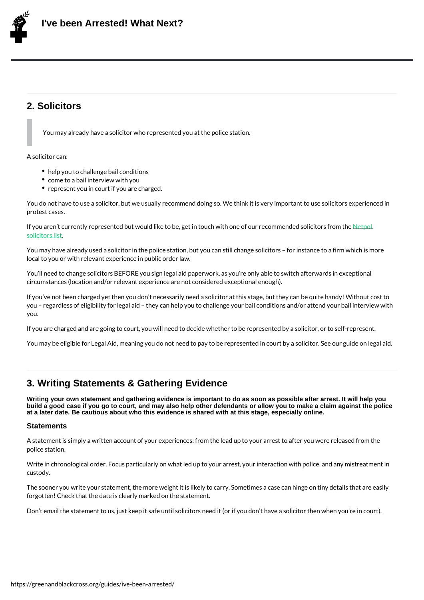## 2. Solicitors

You may already have a solicitor who represented you at the police station.

A solicitor can:

- help you to challenge bail conditions
- come to a bail interview with you
- represent you in court if you are charged.

You do not have to use a solicitor, but we usually recommend doing so. We think it is ver protest cases.

If you aren t currently represented but would like to be, get in touch will let to our recomment of our recommen solicitors list

You may have already used a solicitor in the police station, but you can still change soli local to you or with relevant experience in public order law.

You II need to change solicitors BEFORE you sign legal aid paperwork, as you re only ab circumstances (location and/or relevant experience are not considered exceptional enough).

If you ve not been charged yet then you don t necessarily need a solicitor at this stage, you regardless of eligibility for legal aid they can help you to challenge your bail con you.

If you are charged and are going to court, you will need to decide whether to be represer

You may be eligible for Legal Aid, meaning you do not need to pay to be represented in c

## 3. Writing Statements & Gathering Evidence

Writing your own statement and gathering evidence is important to do as soon as possible after arrest. It will help you build a good case if you go to court, and may also help other defendants or allow you to make a claim against the police at a later date. Be cautious about who this evidence is shared with at this stage, especially online.

#### **Statements**

A statement is simply a written account of your experiences: from the lead up to your arr police station.

Write in chronological order. Focus particularly on what led up to your arrest, your intera custody.

The sooner you write your statement, the more weight it is likely to carry. Sometimes a c forgotten! Check that the date is clearly marked on the statement.

Don t email the statement to us, just keep it safe until solicitors need it (or if you don t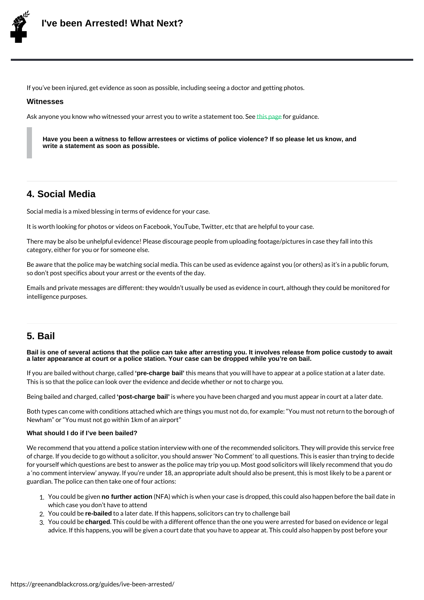If you ve been injured, get evidence as soon as possible, including seeing a doctor and g

#### **Witnesses**

Ask anyone you know who witnessed your arrest you this partner and tant too. See

Have you been a witness to fellow arrestees or victims of police violence? If so please let us know, and write a statement as soon as possible.

#### 4. Social Media

Social media is a mixed blessing in terms of evidence for your case.

It is worth looking for photos or videos on Facebook, YouTube, Twitter, etc that are help

There may be also be unhelpful evidence! Please discourage people from uploading foota category, either for you or for someone else.

Be aware that the police may be watching social media. This can be used as evidence age so don t post specifics about your arrest or the events of the day.

Emails and private messages are different: they wouldn t usually be used as evidence in intelligence purposes.

#### 5. Bail

Bail is one of several actions that the police can take after arresting you. It involves release from police custody to await a later appearance at court or a police station. Your case can be dropped while you're on bail.

If you are bailed withou'preedhargg bail' catlhiesd means that you will have to appear at a police station at a This is so that the police can look over the evidence and decide whether or not to charge

Being bailed and ch'paosytendarged bailleds where you have been charged and you must appear in d

Both types can come with conditions attached which are things you must not do, for exam Newham or You must not go within 1km of an airport

#### What should I do if I've been bailed?

We recommend that you attend a police station interview with one of the recommended so of charge. If you decide to go without a solicitor, you should answer No Comment to all for yourself which questions are best to answer as the police may trip you up. Most good a no comment interview anyway. If you re under 18, an appropriate adult should also be guardian. The police can then take one of four actions:

- 1.You could br**eo fgritwee ac**tion (NFA)which is when your case is dropped, this could also ha which case you don t have to attend
- 2. You coule bailed to a later date. If this happens, solicitors can try to challenge bail
- 3. You cout be charge d. This could be with a different offence than the one you were arrested advice. If this happens, you will be given a court date that you have to appear at. The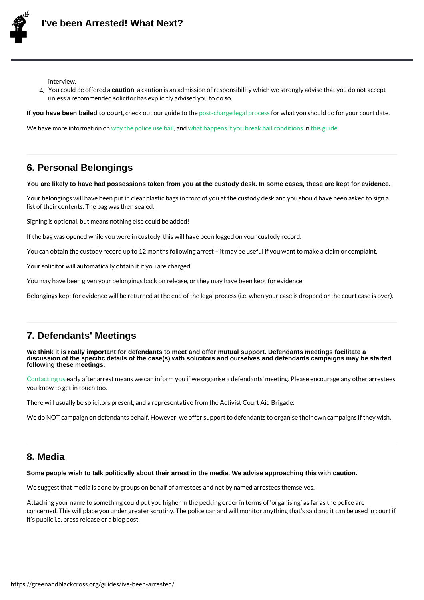interview.

4.You could be cauthionneda a caution is an admission of responsibility which we strongly ad unless a recommended solicitor has explicitly advised you to do so.

If you have been bailed to court , check out our grunide to the post-charge legal oprow hat syou should do for your cou

We have more information on police as what happens if you break intension conditions when

#### 6. Personal Belongi[ngs](https://greenandblackcross.org/guides/should-i-ignore-police-bail/1-why-the-police-put-everybody-on-bail/)

You are likely to have had possessions taken from you at the custody desk. In some cases, these are kept for evidence.

Your belongings will have been put in clear plastic bags in front of you at the custody de list of their contents. The bag was then sealed.

Signing is optional, but means nothing else could be added!

If the bag was opened while you were in custody, this will have been logged on your cust You can obtain the custody record up to 12 months following arrest it may be useful if y

Your solicitor will automatically obtain it if you are charged.

You may have been given your belongings back on release, or they may have been kept fo

Belongings kept for evidence will be returned at the end of the legal process (i.e. when <sub>)</sub>

#### 7. Defendants' Meetings

We think it is really important for defendants to meet and offer mutual support. Defendants meetings facilitate a discussion of the specific details of the case(s) with solicitors and ourselves and defendants campaigns may be started following these meetings.

Contacting arly after arrest means we can inform you if we organise a defendants meeting. you know to get in touch too.

There will usually be solicitors present, and a representative from the Activist Court Aid

[We do N](/contact/)OT campaign on defendants behalf. However, we offer support to defendants to o

#### 8. Media

Some people wish to talk politically about their arrest in the media. We advise approaching this with caution.

We suggest that media is done by groups on behalf of arrestees and not by named arreste

Attaching your name to something could put you higher in the pecking order in terms of concerned. This will place you under greater scrutiny. The police can and will monitor an it s public i.e. press release or a blog post.